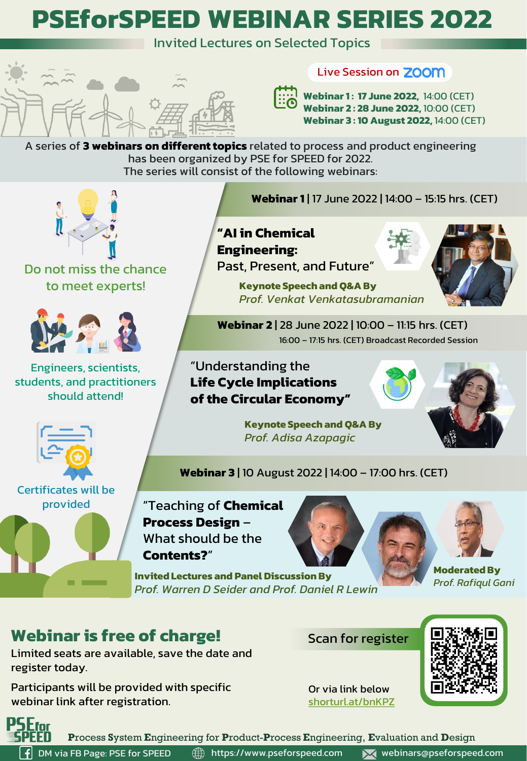# **PSEforSPEED WEBINAR SERIES 2022**

Invited Lectures on Selected Topics



### Live Session on **ZOOM**

**Webinar 1 : 17 June 2022,** 14:00 (CET) **Webinar 2 : 28 June 2022,** 10:00 (CET) **Webinar 3 : 10 August 2022,** 14:00 (CET)

A series of **3 webinars on different topics** related to process and product engineering has been organized by PSE for SPEED for 2022. The series will consist of the following webinars:



Do not miss the chance to meet experts!



Engineers, scientists, students, and practitioners should attend!



# **"AI in Chemical Engineering:**

Past, Present, and Future"

**Keynote Speech and Q&A By**  *Prof. Venkat Venkatasubramanian*



**Webinar 2** | 28 June 2022 | 10:00 – 11:15 hrs. (CET) 16:00 – 17:15 hrs. (CET) Broadcast Recorded Session

"Understanding the **Life Cycle Implications of the Circular Economy"**

> **Keynote Speech and Q&A By**  *Prof. Adisa Azapagic*





Certificates will be provided



**Webinar 3** | 10 August 2022 | 14:00 – 17:00 hrs. (CET)

"Teaching of **Chemical Process Design** – What should be the **Contents?**"

**Invited Lectures and Panel Discussion By**  *Prof. Warren D Seider and Prof. Daniel R Lewin*





**Moderated By** *Prof. Rafiqul Gani*

# **Webinar is free of charge!**

Limited seats are available, save the date and register today.

Participants will be provided with specific webinar link after registration.

Scan for register



Or via link below [shorturl.at/bnKPZ](https://docs.google.com/forms/d/e/1FAIpQLSf1s3MxIHrtY0UV7_v7AeF4h-gd6zLvVeNihNKz8Y_qy4VNCQ/viewform)



**P**rocess **S**ystem **E**ngineering for **P**roduct-**P**rocess **E**ngineering, **E**valuation and **D**esign

**f** DM via FB Page: PSE for SPEED

https://www.pseforspeed.com webinars@pseforspeed.com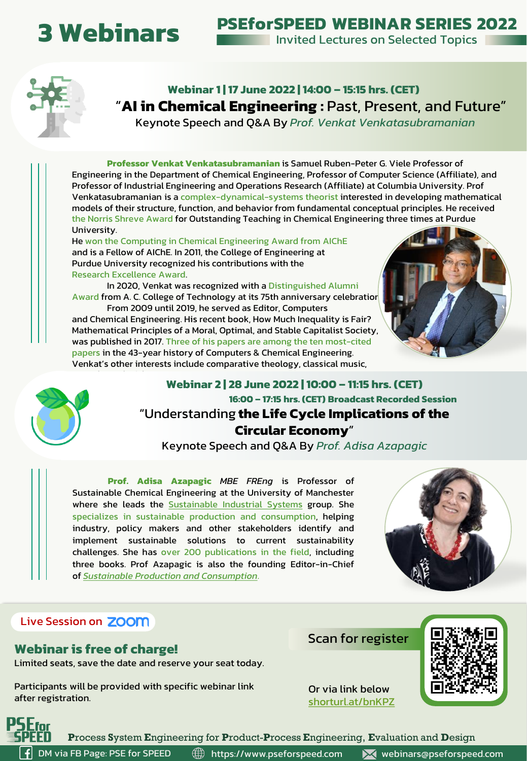# **3 Webinars**

**PSEforSPEED WEBINAR SERIES 2022**

**Invited Lectures on Selected Topics** 



**Webinar 1 | 17 June 2022 | 14:00 – 15:15 hrs. (CET)** "**AI in Chemical Engineering :** Past, Present, and Future"

Keynote Speech and Q&A By *Prof. Venkat Venkatasubramanian*

**Professor Venkat Venkatasubramanian** is Samuel Ruben-Peter G. Viele Professor of Engineering in the Department of Chemical Engineering, Professor of Computer Science (Affiliate), and Professor of Industrial Engineering and Operations Research (Affiliate) at Columbia University. Prof Venkatasubramanian is a complex-dynamical-systems theorist interested in developing mathematical models of their structure, function, and behavior from fundamental conceptual principles. He received the Norris Shreve Award for Outstanding Teaching in Chemical Engineering three times at Purdue University.

He won the Computing in Chemical Engineering Award from AIChE and is a Fellow of AIChE. In 2011, the College of Engineering at Purdue University recognized his contributions with the Research Excellence Award.

In 2020, Venkat was recognized with a Distinguished Alumni Award from A. C. College of Technology at its 75th anniversary celebration

From 2009 until 2019, he served as Editor, Computers and Chemical Engineering. His recent book, How Much Inequality is Fair? Mathematical Principles of a Moral, Optimal, and Stable Capitalist Society, was published in 2017. Three of his papers are among the ten most-cited papers in the 43-year history of Computers & Chemical Engineering. Venkat's other interests include comparative theology, classical music,





### **Webinar 2 | 28 June 2022 | 10:00 – 11:15 hrs. (CET) 16:00 – 17:15 hrs. (CET) Broadcast Recorded Session** "Understanding **the Life Cycle Implications of the Circular Economy**"

Keynote Speech and Q&A By *Prof. Adisa Azapagic*

**Prof. Adisa Azapagic** *MBE FREng* is Professor of Sustainable Chemical Engineering at the University of Manchester where she leads the [Sustainable](http://sustainable-systems.org.uk/) Industrial Systems group. She specializes in sustainable production and consumption, helping industry, policy makers and other stakeholders identify and implement sustainable solutions to current sustainability challenges. She has over 200 publications in the field, including three books. Prof Azapagic is also the founding Editor-in-Chief of *Sustainable Production and [Consumption](https://www.journals.elsevier.com/sustainable-production-and-consumption/)*.



### Live Session on **ZOOM**

#### **Webinar is free of charge!**

Limited seats, save the date and reserve your seat today.

Participants will be provided with specific webinar link after registration.

Scan for register



Or via link below

[shorturl.at/bnKPZ](https://docs.google.com/forms/d/e/1FAIpQLSf1s3MxIHrtY0UV7_v7AeF4h-gd6zLvVeNihNKz8Y_qy4VNCQ/viewform)

**P**rocess **S**ystem **E**ngineering for **P**roduct-**P**rocess **E**ngineering, **E**valuation and **D**esign DM via FB Page: PSE for SPEED

https://www.pseforspeed.com webinars@pseforspeed.com